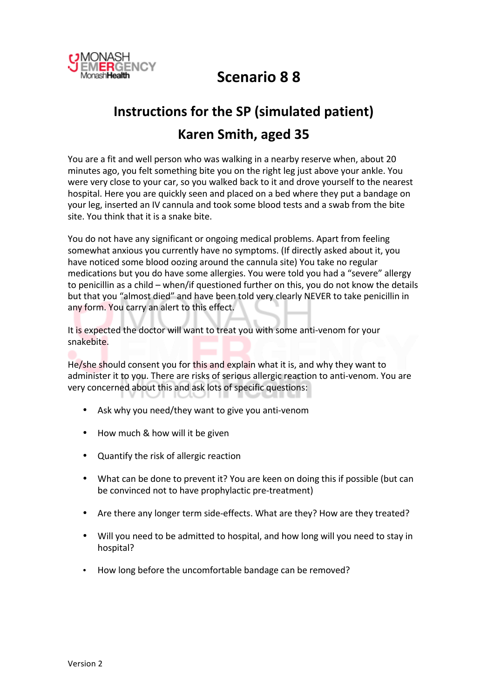

## **Scenario!8 8**

# **Instructions for the SP (simulated patient) Karen!Smith,!aged!35**

You are a fit and well person who was walking in a nearby reserve when, about 20 minutes ago, you felt something bite you on the right leg just above your ankle. You were very close to your car, so you walked back to it and drove yourself to the nearest hospital. Here you are quickly seen and placed on a bed where they put a bandage on your leg, inserted an IV cannula and took some blood tests and a swab from the bite site. You think that it is a snake bite.

You do not have any significant or ongoing medical problems. Apart from feeling somewhat anxious you currently have no symptoms. (If directly asked about it, you have noticed some blood oozing around the cannula site) You take no regular medications but you do have some allergies. You were told you had a "severe" allergy to penicillin as a child – when/if questioned further on this, you do not know the details but that you "almost died" and have been told very clearly NEVER to take penicillin in any form. You carry an alert to this effect.

It is expected the doctor will want to treat you with some anti-venom for your snakebite.

He/she should consent you for this and explain what it is, and why they want to administer it to you. There are risks of serious allergic reaction to anti-venom. You are very concerned about this and ask lots of specific questions:

- Ask why you need/they want to give you anti-venom
- How much & how will it be given
- Quantify the risk of allergic reaction
- What can be done to prevent it? You are keen on doing this if possible (but can be convinced not to have prophylactic pre-treatment)
- Are there any longer term side-effects. What are they? How are they treated?
- Will you need to be admitted to hospital, and how long will you need to stay in hospital?
- How long before the uncomfortable bandage can be removed?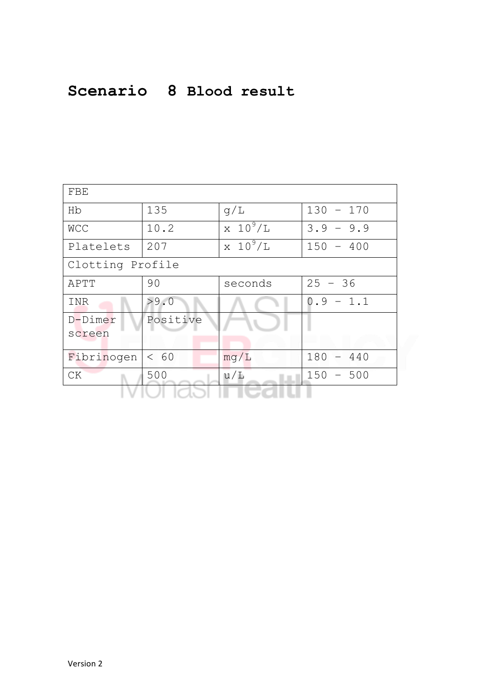## **Scenario 8 Blood result**

| FBE               |          |                 |             |  |  |  |  |  |  |
|-------------------|----------|-----------------|-------------|--|--|--|--|--|--|
| Hb                | 135      | q/L             | $130 - 170$ |  |  |  |  |  |  |
| <b>WCC</b>        | 10.2     | $\times 10^9/L$ | $3.9 - 9.9$ |  |  |  |  |  |  |
| Platelets         | 207      | $\times 10^9/L$ | $150 - 400$ |  |  |  |  |  |  |
| Clotting Profile  |          |                 |             |  |  |  |  |  |  |
| APTT              | 90       | seconds         | $25 - 36$   |  |  |  |  |  |  |
| INR               | >9.0     |                 | $0.9 - 1.1$ |  |  |  |  |  |  |
| D-Dimer<br>screen | Positive |                 |             |  |  |  |  |  |  |
| Fibrinogen        | < 60     | mq/L            | $180 - 440$ |  |  |  |  |  |  |
| CK                | 500      | u/L             | $150 - 500$ |  |  |  |  |  |  |
|                   |          |                 |             |  |  |  |  |  |  |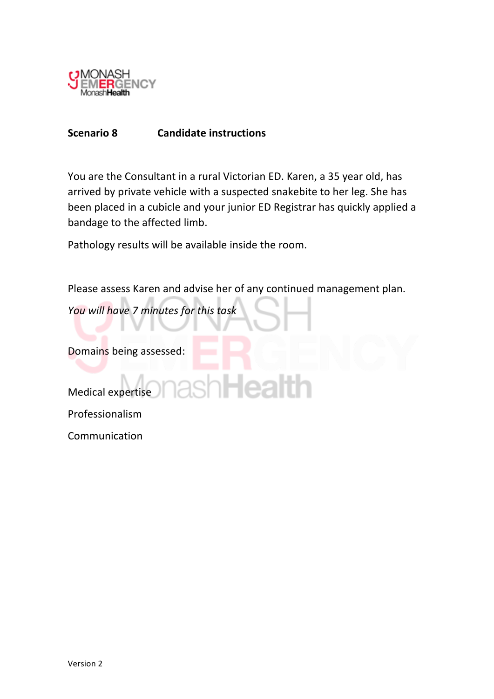

### **Scenario 8 Candidate instructions**

You are the Consultant in a rural Victorian ED. Karen, a 35 year old, has arrived by private vehicle with a suspected snakebite to her leg. She has been placed in a cubicle and your junior ED Registrar has quickly applied a bandage to the affected limb.

Pathology results will be available inside the room.

Please assess Karen and advise her of any continued management plan.

*You!will!have!7!minutes!for!this!task*

Domains being assessed:

Medical expertise Professionalism **Communication**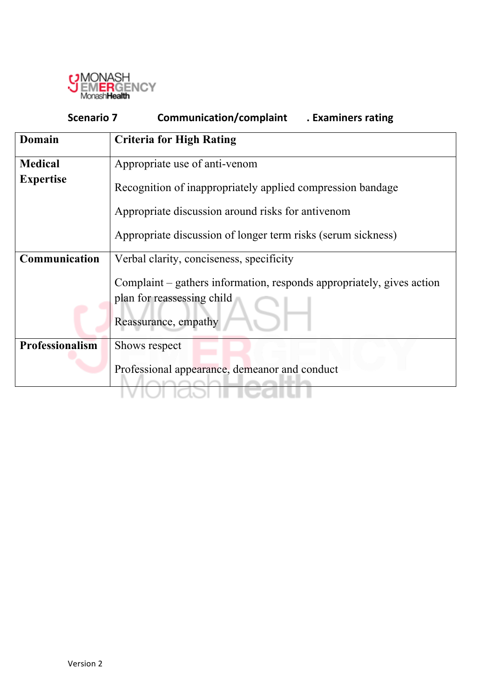

| Scenario 7             | <b>Communication/complaint</b><br>. Examiners rating                  |  |  |  |  |  |  |
|------------------------|-----------------------------------------------------------------------|--|--|--|--|--|--|
| Domain                 | <b>Criteria for High Rating</b>                                       |  |  |  |  |  |  |
| <b>Medical</b>         | Appropriate use of anti-venom                                         |  |  |  |  |  |  |
| <b>Expertise</b>       | Recognition of inappropriately applied compression bandage            |  |  |  |  |  |  |
|                        | Appropriate discussion around risks for antivenom                     |  |  |  |  |  |  |
|                        | Appropriate discussion of longer term risks (serum sickness)          |  |  |  |  |  |  |
| Communication          | Verbal clarity, conciseness, specificity                              |  |  |  |  |  |  |
|                        | Complaint – gathers information, responds appropriately, gives action |  |  |  |  |  |  |
|                        | plan for reassessing child                                            |  |  |  |  |  |  |
|                        | Reassurance, empathy                                                  |  |  |  |  |  |  |
| <b>Professionalism</b> | Shows respect                                                         |  |  |  |  |  |  |
|                        | Professional appearance, demeanor and conduct                         |  |  |  |  |  |  |
|                        |                                                                       |  |  |  |  |  |  |